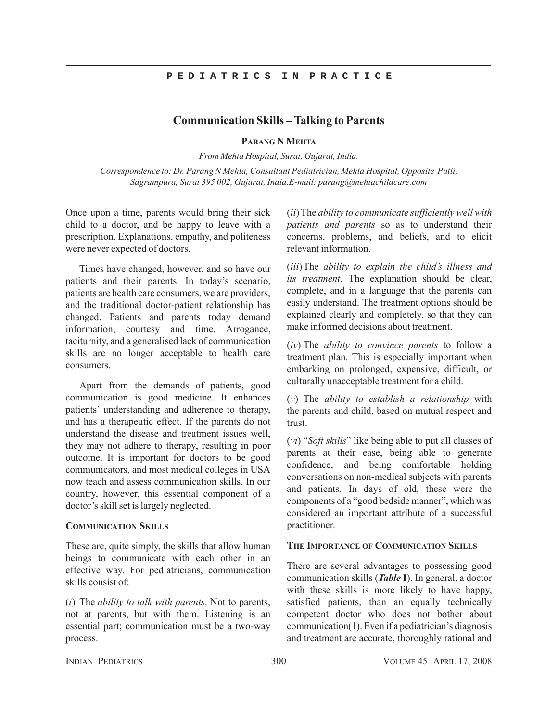## **P E D I A T R I C S I N P R A C T I C E**

# **Communication Skills – Talking to Parents**

**PARANG N MEHTA**

*From Mehta Hospital, Surat, Gujarat, India.*

*Correspondence to: Dr. Parang N Mehta, Consultant Pediatrician, Mehta Hospital, Opposite Putli, Sagrampura, Surat 395 002, Gujarat, India.E-mail: parang@mehtachildcare.com*

Once upon a time, parents would bring their sick child to a doctor, and be happy to leave with a prescription. Explanations, empathy, and politeness were never expected of doctors.

Times have changed, however, and so have our patients and their parents. In today's scenario, patients are health care consumers, we are providers, and the traditional doctor-patient relationship has changed. Patients and parents today demand information, courtesy and time. Arrogance, taciturnity, and a generalised lack of communication skills are no longer acceptable to health care consumers.

Apart from the demands of patients, good communication is good medicine. It enhances patients' understanding and adherence to therapy, and has a therapeutic effect. If the parents do not understand the disease and treatment issues well, they may not adhere to therapy, resulting in poor outcome. It is important for doctors to be good communicators, and most medical colleges in USA now teach and assess communication skills. In our country, however, this essential component of a doctor's skill set is largely neglected.

### **COMMUNICATION SKILLS**

These are, quite simply, the skills that allow human beings to communicate with each other in an effective way. For pediatricians, communication skills consist of:

(*i*) The *ability to talk with parents*. Not to parents, not at parents, but with them. Listening is an essential part; communication must be a two-way process.

(*ii*)The *ability to communicate sufficiently well with patients and parents* so as to understand their concerns, problems, and beliefs, and to elicit relevant information.

(*iii*)The *ability to explain the child's illness and its treatment*. The explanation should be clear, complete, and in a language that the parents can easily understand. The treatment options should be explained clearly and completely, so that they can make informed decisions about treatment.

(*iv*) The *ability to convince parents* to follow a treatment plan. This is especially important when embarking on prolonged, expensive, difficult, or culturally unacceptable treatment for a child.

(*v*) The *ability to establish a relationship* with the parents and child, based on mutual respect and trust.

(*vi*) "*Soft skills*" like being able to put all classes of parents at their ease, being able to generate confidence, and being comfortable holding conversations on non-medical subjects with parents and patients. In days of old, these were the components of a "good bedside manner", which was considered an important attribute of a successful practitioner.

#### **THE IMPORTANCE OF COMMUNICATION SKILLS**

There are several advantages to possessing good communication skills (*Table* **I**). In general, a doctor with these skills is more likely to have happy, satisfied patients, than an equally technically competent doctor who does not bother about communication(1). Even if a pediatrician's diagnosis and treatment are accurate, thoroughly rational and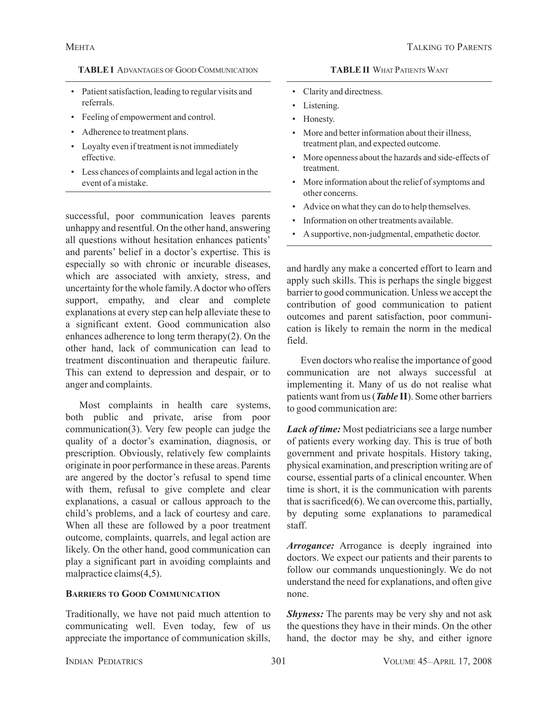## **TABLE I** ADVANTAGES OF GOOD COMMUNICATION

- Patient satisfaction, leading to regular visits and referrals.
- Feeling of empowerment and control.
- Adherence to treatment plans.
- Loyalty even if treatment is not immediately effective.
- Less chances of complaints and legal action in the event of a mistake.

successful, poor communication leaves parents unhappy and resentful. On the other hand, answering all questions without hesitation enhances patients' and parents' belief in a doctor's expertise. This is especially so with chronic or incurable diseases, which are associated with anxiety, stress, and uncertainty for the whole family. A doctor who offers support, empathy, and clear and complete explanations at every step can help alleviate these to a significant extent. Good communication also enhances adherence to long term therapy(2). On the other hand, lack of communication can lead to treatment discontinuation and therapeutic failure. This can extend to depression and despair, or to anger and complaints.

Most complaints in health care systems, both public and private, arise from poor communication(3). Very few people can judge the quality of a doctor's examination, diagnosis, or prescription. Obviously, relatively few complaints originate in poor performance in these areas. Parents are angered by the doctor's refusal to spend time with them, refusal to give complete and clear explanations, a casual or callous approach to the child's problems, and a lack of courtesy and care. When all these are followed by a poor treatment outcome, complaints, quarrels, and legal action are likely. On the other hand, good communication can play a significant part in avoiding complaints and malpractice claims(4,5).

# **BARRIERS TO GOOD COMMUNICATION**

Traditionally, we have not paid much attention to communicating well. Even today, few of us appreciate the importance of communication skills,

## **TABLE II** WHAT PATIENTS WANT

- Clarity and directness.
- Listening.
- Honesty.
- More and better information about their illness, treatment plan, and expected outcome.
- More openness about the hazards and side-effects of treatment.
- More information about the relief of symptoms and other concerns.
- Advice on what they can do to help themselves.
- Information on other treatments available.
- A supportive, non-judgmental, empathetic doctor.

and hardly any make a concerted effort to learn and apply such skills. This is perhaps the single biggest barrier to good communication. Unless we accept the contribution of good communication to patient outcomes and parent satisfaction, poor communication is likely to remain the norm in the medical field.

Even doctors who realise the importance of good communication are not always successful at implementing it. Many of us do not realise what patients want from us (*Table* **II**). Some other barriers to good communication are:

*Lack of time:* Most pediatricians see a large number of patients every working day. This is true of both government and private hospitals. History taking, physical examination, and prescription writing are of course, essential parts of a clinical encounter. When time is short, it is the communication with parents that is sacrificed(6). We can overcome this, partially, by deputing some explanations to paramedical staff.

*Arrogance:* Arrogance is deeply ingrained into doctors. We expect our patients and their parents to follow our commands unquestioningly. We do not understand the need for explanations, and often give none.

*Shyness:* The parents may be very shy and not ask the questions they have in their minds. On the other hand, the doctor may be shy, and either ignore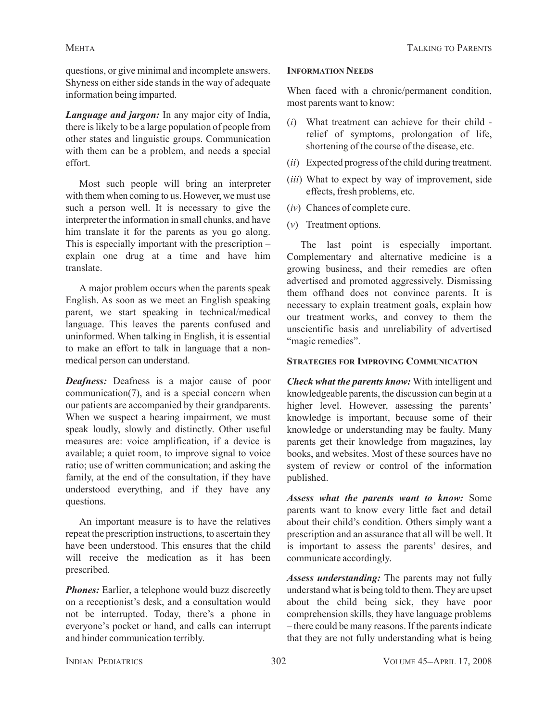questions, or give minimal and incomplete answers. Shyness on either side stands in the way of adequate information being imparted.

*Language and jargon:* In any major city of India, there is likely to be a large population of people from other states and linguistic groups. Communication with them can be a problem, and needs a special effort.

Most such people will bring an interpreter with them when coming to us. However, we must use such a person well. It is necessary to give the interpreter the information in small chunks, and have him translate it for the parents as you go along. This is especially important with the prescription – explain one drug at a time and have him translate.

A major problem occurs when the parents speak English. As soon as we meet an English speaking parent, we start speaking in technical/medical language. This leaves the parents confused and uninformed. When talking in English, it is essential to make an effort to talk in language that a nonmedical person can understand.

*Deafness:* Deafness is a major cause of poor communication(7), and is a special concern when our patients are accompanied by their grandparents. When we suspect a hearing impairment, we must speak loudly, slowly and distinctly. Other useful measures are: voice amplification, if a device is available; a quiet room, to improve signal to voice ratio; use of written communication; and asking the family, at the end of the consultation, if they have understood everything, and if they have any questions.

An important measure is to have the relatives repeat the prescription instructions, to ascertain they have been understood. This ensures that the child will receive the medication as it has been prescribed.

*Phones:* Earlier, a telephone would buzz discreetly on a receptionist's desk, and a consultation would not be interrupted. Today, there's a phone in everyone's pocket or hand, and calls can interrupt and hinder communication terribly.

# **INFORMATION NEEDS**

When faced with a chronic/permanent condition, most parents want to know:

- (*i*) What treatment can achieve for their child relief of symptoms, prolongation of life, shortening of the course of the disease, etc.
- (*ii*) Expected progress of the child during treatment.
- (*iii*) What to expect by way of improvement, side effects, fresh problems, etc.
- (*iv*) Chances of complete cure.
- (*v*) Treatment options.

The last point is especially important. Complementary and alternative medicine is a growing business, and their remedies are often advertised and promoted aggressively. Dismissing them offhand does not convince parents. It is necessary to explain treatment goals, explain how our treatment works, and convey to them the unscientific basis and unreliability of advertised "magic remedies".

# **STRATEGIES FOR IMPROVING COMMUNICATION**

*Check what the parents know:* With intelligent and knowledgeable parents, the discussion can begin at a higher level. However, assessing the parents' knowledge is important, because some of their knowledge or understanding may be faulty. Many parents get their knowledge from magazines, lay books, and websites. Most of these sources have no system of review or control of the information published.

*Assess what the parents want to know:* Some parents want to know every little fact and detail about their child's condition. Others simply want a prescription and an assurance that all will be well. It is important to assess the parents' desires, and communicate accordingly.

*Assess understanding:* The parents may not fully understand what is being told to them. They are upset about the child being sick, they have poor comprehension skills, they have language problems – there could be many reasons. If the parents indicate that they are not fully understanding what is being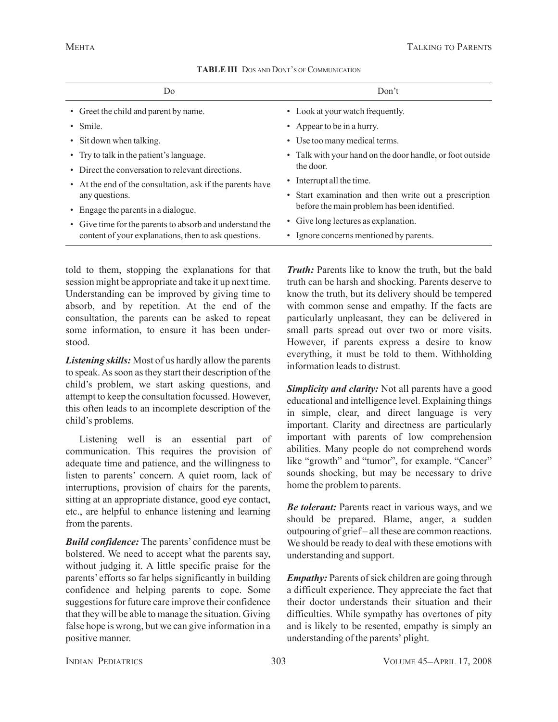| Do.                                                       | Don't                                                     |
|-----------------------------------------------------------|-----------------------------------------------------------|
| • Greet the child and parent by name.                     | • Look at your watch frequently.                          |
| $\bullet$ Smile.                                          | • Appear to be in a hurry.                                |
| • Sit down when talking.                                  | • Use too many medical terms.                             |
| • Try to talk in the patient's language.                  | • Talk with your hand on the door handle, or foot outside |
| • Direct the conversation to relevant directions.         | the door.                                                 |
| • At the end of the consultation, ask if the parents have | • Interrupt all the time.                                 |
| any questions.                                            | • Start examination and then write out a prescription     |
| • Engage the parents in a dialogue.                       | before the main problem has been identified.              |
| • Give time for the parents to absorb and understand the  | • Give long lectures as explanation.                      |
| content of your explanations, then to ask questions.      | Ignore concerns mentioned by parents.                     |

## **TABLE III** DOS AND DONT'S OF COMMUNICATION

told to them, stopping the explanations for that session might be appropriate and take it up next time. Understanding can be improved by giving time to absorb, and by repetition. At the end of the consultation, the parents can be asked to repeat some information, to ensure it has been understood.

*Listening skills:* Most of us hardly allow the parents to speak. As soon as they start their description of the child's problem, we start asking questions, and attempt to keep the consultation focussed. However, this often leads to an incomplete description of the child's problems.

Listening well is an essential part of communication. This requires the provision of adequate time and patience, and the willingness to listen to parents' concern. A quiet room, lack of interruptions, provision of chairs for the parents, sitting at an appropriate distance, good eye contact, etc., are helpful to enhance listening and learning from the parents.

*Build confidence:* The parents' confidence must be bolstered. We need to accept what the parents say, without judging it. A little specific praise for the parents' efforts so far helps significantly in building confidence and helping parents to cope. Some suggestions for future care improve their confidence that they will be able to manage the situation. Giving false hope is wrong, but we can give information in a positive manner.

*Truth:* Parents like to know the truth, but the bald truth can be harsh and shocking. Parents deserve to know the truth, but its delivery should be tempered with common sense and empathy. If the facts are particularly unpleasant, they can be delivered in small parts spread out over two or more visits. However, if parents express a desire to know everything, it must be told to them. Withholding information leads to distrust.

*Simplicity and clarity:* Not all parents have a good educational and intelligence level. Explaining things in simple, clear, and direct language is very important. Clarity and directness are particularly important with parents of low comprehension abilities. Many people do not comprehend words like "growth" and "tumor", for example. "Cancer" sounds shocking, but may be necessary to drive home the problem to parents.

*Be tolerant:* Parents react in various ways, and we should be prepared. Blame, anger, a sudden outpouring of grief – all these are common reactions. We should be ready to deal with these emotions with understanding and support.

*Empathy:* Parents of sick children are going through a difficult experience. They appreciate the fact that their doctor understands their situation and their difficulties. While sympathy has overtones of pity and is likely to be resented, empathy is simply an understanding of the parents' plight.